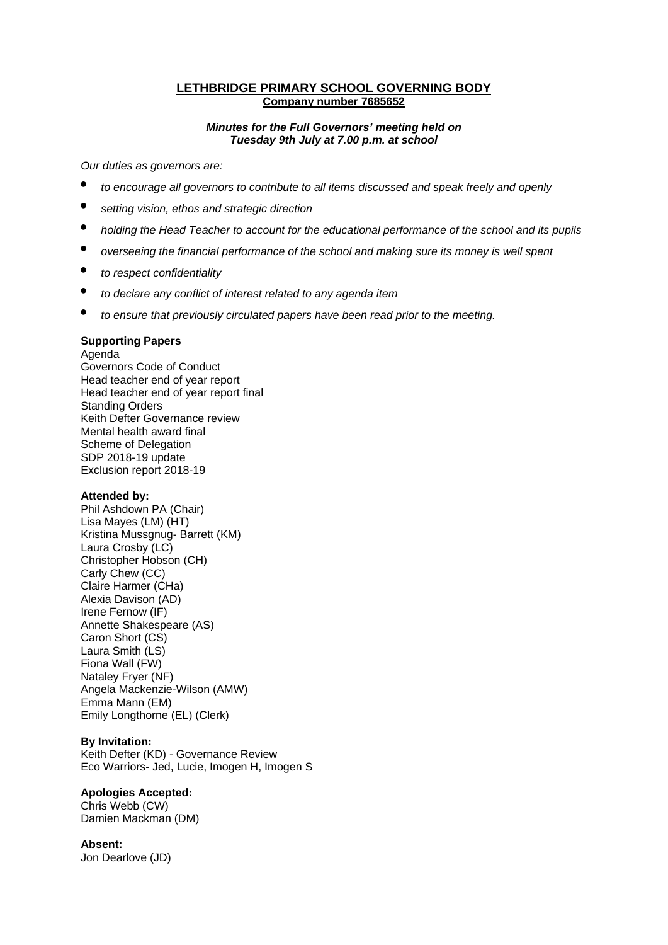### **LETHBRIDGE PRIMARY SCHOOL GOVERNING BODY Company number 7685652**

#### *Minutes for the Full Governors' meeting held on Tuesday 9th July at 7.00 p.m. at school*

*Our duties as governors are:* 

- *to encourage all governors to contribute to all items discussed and speak freely and openly*
- *setting vision, ethos and strategic direction*
- *holding the Head Teacher to account for the educational performance of the school and its pupils*
- *overseeing the financial performance of the school and making sure its money is well spent*
- *to respect confidentiality*
- *to declare any conflict of interest related to any agenda item*
- *to ensure that previously circulated papers have been read prior to the meeting.*

# **Supporting Papers**

Agenda

Governors Code of Conduct Head teacher end of year report Head teacher end of year report final Standing Orders Keith Defter Governance review Mental health award final Scheme of Delegation SDP 2018-19 update Exclusion report 2018-19

#### **Attended by:**

Phil Ashdown PA (Chair) Lisa Mayes (LM) (HT) Kristina Mussgnug- Barrett (KM) Laura Crosby (LC) Christopher Hobson (CH) Carly Chew (CC) Claire Harmer (CHa) Alexia Davison (AD) Irene Fernow (IF) Annette Shakespeare (AS) Caron Short (CS) Laura Smith (LS) Fiona Wall (FW) Nataley Fryer (NF) Angela Mackenzie-Wilson (AMW) Emma Mann (EM) Emily Longthorne (EL) (Clerk)

### **By Invitation:**

Keith Defter (KD) - Governance Review Eco Warriors- Jed, Lucie, Imogen H, Imogen S

### **Apologies Accepted:**

Chris Webb (CW) Damien Mackman (DM)

#### **Absent:**

Jon Dearlove (JD)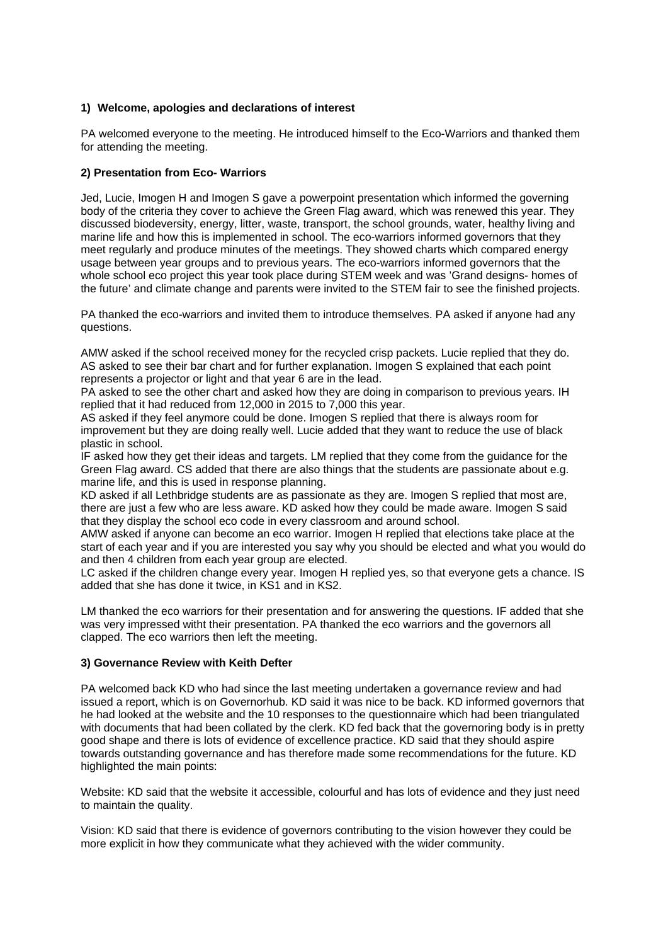# **1) Welcome, apologies and declarations of interest**

PA welcomed everyone to the meeting. He introduced himself to the Eco-Warriors and thanked them for attending the meeting.

### **2) Presentation from Eco- Warriors**

Jed, Lucie, Imogen H and Imogen S gave a powerpoint presentation which informed the governing body of the criteria they cover to achieve the Green Flag award, which was renewed this year. They discussed biodeversity, energy, litter, waste, transport, the school grounds, water, healthy living and marine life and how this is implemented in school. The eco-warriors informed governors that they meet regularly and produce minutes of the meetings. They showed charts which compared energy usage between year groups and to previous years. The eco-warriors informed governors that the whole school eco project this year took place during STEM week and was 'Grand designs- homes of the future' and climate change and parents were invited to the STEM fair to see the finished projects.

PA thanked the eco-warriors and invited them to introduce themselves. PA asked if anyone had any questions.

AMW asked if the school received money for the recycled crisp packets. Lucie replied that they do. AS asked to see their bar chart and for further explanation. Imogen S explained that each point represents a projector or light and that year 6 are in the lead.

PA asked to see the other chart and asked how they are doing in comparison to previous years. IH replied that it had reduced from 12,000 in 2015 to 7,000 this year.

AS asked if they feel anymore could be done. Imogen S replied that there is always room for improvement but they are doing really well. Lucie added that they want to reduce the use of black plastic in school.

IF asked how they get their ideas and targets. LM replied that they come from the guidance for the Green Flag award. CS added that there are also things that the students are passionate about e.g. marine life, and this is used in response planning.

KD asked if all Lethbridge students are as passionate as they are. Imogen S replied that most are, there are just a few who are less aware. KD asked how they could be made aware. Imogen S said that they display the school eco code in every classroom and around school.

AMW asked if anyone can become an eco warrior. Imogen H replied that elections take place at the start of each year and if you are interested you say why you should be elected and what you would do and then 4 children from each year group are elected.

LC asked if the children change every year. Imogen H replied yes, so that everyone gets a chance. IS added that she has done it twice, in KS1 and in KS2.

LM thanked the eco warriors for their presentation and for answering the questions. IF added that she was very impressed witht their presentation. PA thanked the eco warriors and the governors all clapped. The eco warriors then left the meeting.

#### **3) Governance Review with Keith Defter**

PA welcomed back KD who had since the last meeting undertaken a governance review and had issued a report, which is on Governorhub. KD said it was nice to be back. KD informed governors that he had looked at the website and the 10 responses to the questionnaire which had been triangulated with documents that had been collated by the clerk. KD fed back that the governoring body is in pretty good shape and there is lots of evidence of excellence practice. KD said that they should aspire towards outstanding governance and has therefore made some recommendations for the future. KD highlighted the main points:

Website: KD said that the website it accessible, colourful and has lots of evidence and they just need to maintain the quality.

Vision: KD said that there is evidence of governors contributing to the vision however they could be more explicit in how they communicate what they achieved with the wider community.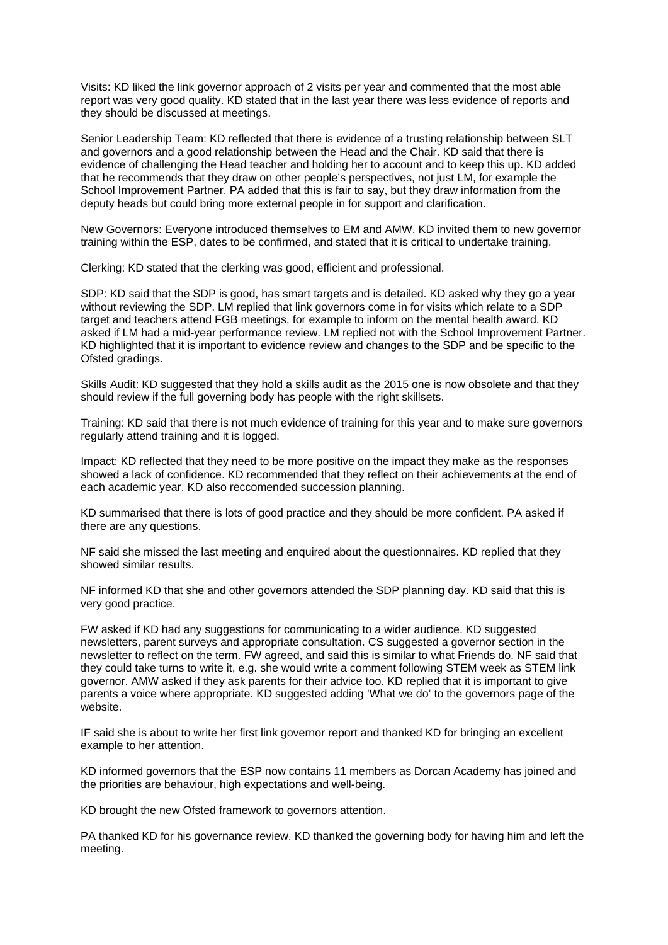Visits: KD liked the link governor approach of 2 visits per year and commented that the most able report was very good quality. KD stated that in the last year there was less evidence of reports and they should be discussed at meetings.

Senior Leadership Team: KD reflected that there is evidence of a trusting relationship between SLT and governors and a good relationship between the Head and the Chair. KD said that there is evidence of challenging the Head teacher and holding her to account and to keep this up. KD added that he recommends that they draw on other people's perspectives, not just LM, for example the School Improvement Partner. PA added that this is fair to say, but they draw information from the deputy heads but could bring more external people in for support and clarification.

New Governors: Everyone introduced themselves to EM and AMW. KD invited them to new governor training within the ESP, dates to be confirmed, and stated that it is critical to undertake training.

Clerking: KD stated that the clerking was good, efficient and professional.

SDP: KD said that the SDP is good, has smart targets and is detailed. KD asked why they go a year without reviewing the SDP. LM replied that link governors come in for visits which relate to a SDP target and teachers attend FGB meetings, for example to inform on the mental health award. KD asked if LM had a mid-year performance review. LM replied not with the School Improvement Partner. KD highlighted that it is important to evidence review and changes to the SDP and be specific to the Ofsted gradings.

Skills Audit: KD suggested that they hold a skills audit as the 2015 one is now obsolete and that they should review if the full governing body has people with the right skillsets.

Training: KD said that there is not much evidence of training for this year and to make sure governors regularly attend training and it is logged.

Impact: KD reflected that they need to be more positive on the impact they make as the responses showed a lack of confidence. KD recommended that they reflect on their achievements at the end of each academic year. KD also reccomended succession planning.

KD summarised that there is lots of good practice and they should be more confident. PA asked if there are any questions.

NF said she missed the last meeting and enquired about the questionnaires. KD replied that they showed similar results.

NF informed KD that she and other governors attended the SDP planning day. KD said that this is very good practice.

FW asked if KD had any suggestions for communicating to a wider audience. KD suggested newsletters, parent surveys and appropriate consultation. CS suggested a governor section in the newsletter to reflect on the term. FW agreed, and said this is similar to what Friends do. NF said that they could take turns to write it, e.g. she would write a comment following STEM week as STEM link governor. AMW asked if they ask parents for their advice too. KD replied that it is important to give parents a voice where appropriate. KD suggested adding 'What we do' to the governors page of the website.

IF said she is about to write her first link governor report and thanked KD for bringing an excellent example to her attention.

KD informed governors that the ESP now contains 11 members as Dorcan Academy has joined and the priorities are behaviour, high expectations and well-being.

KD brought the new Ofsted framework to governors attention.

PA thanked KD for his governance review. KD thanked the governing body for having him and left the meeting.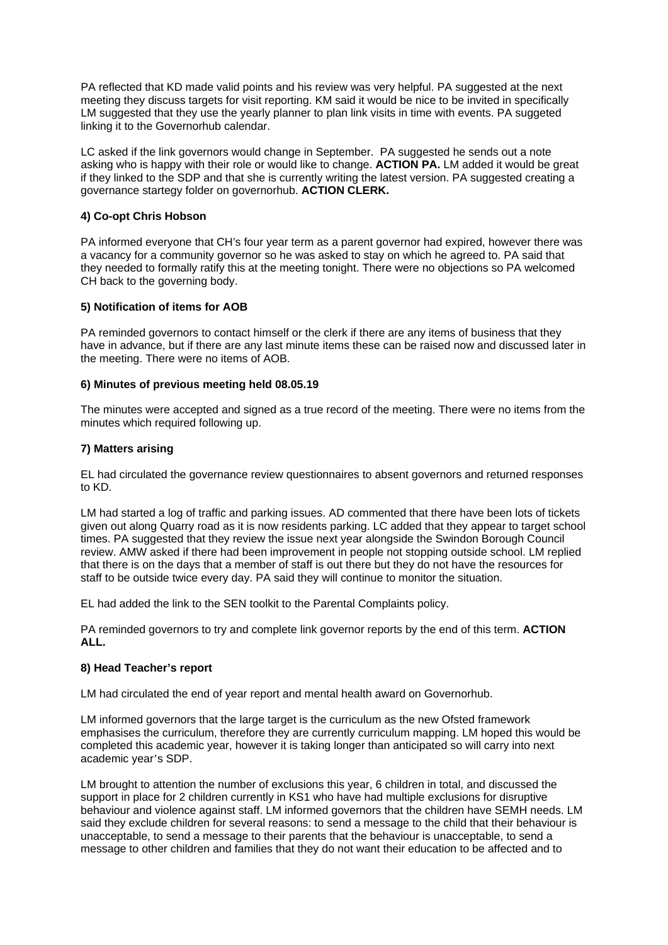PA reflected that KD made valid points and his review was very helpful. PA suggested at the next meeting they discuss targets for visit reporting. KM said it would be nice to be invited in specifically LM suggested that they use the yearly planner to plan link visits in time with events. PA suggeted linking it to the Governorhub calendar.

LC asked if the link governors would change in September. PA suggested he sends out a note asking who is happy with their role or would like to change. **ACTION PA.** LM added it would be great if they linked to the SDP and that she is currently writing the latest version. PA suggested creating a governance startegy folder on governorhub. **ACTION CLERK.** 

# **4) Co-opt Chris Hobson**

PA informed everyone that CH's four year term as a parent governor had expired, however there was a vacancy for a community governor so he was asked to stay on which he agreed to. PA said that they needed to formally ratify this at the meeting tonight. There were no objections so PA welcomed CH back to the governing body.

### **5) Notification of items for AOB**

PA reminded governors to contact himself or the clerk if there are any items of business that they have in advance, but if there are any last minute items these can be raised now and discussed later in the meeting. There were no items of AOB.

#### **6) Minutes of previous meeting held 08.05.19**

The minutes were accepted and signed as a true record of the meeting. There were no items from the minutes which required following up.

### **7) Matters arising**

EL had circulated the governance review questionnaires to absent governors and returned responses to KD.

LM had started a log of traffic and parking issues. AD commented that there have been lots of tickets given out along Quarry road as it is now residents parking. LC added that they appear to target school times. PA suggested that they review the issue next year alongside the Swindon Borough Council review. AMW asked if there had been improvement in people not stopping outside school. LM replied that there is on the days that a member of staff is out there but they do not have the resources for staff to be outside twice every day. PA said they will continue to monitor the situation.

EL had added the link to the SEN toolkit to the Parental Complaints policy.

PA reminded governors to try and complete link governor reports by the end of this term. **ACTION ALL.**

### **8) Head Teacher's report**

LM had circulated the end of year report and mental health award on Governorhub.

LM informed governors that the large target is the curriculum as the new Ofsted framework emphasises the curriculum, therefore they are currently curriculum mapping. LM hoped this would be completed this academic year, however it is taking longer than anticipated so will carry into next academic year's SDP.

LM brought to attention the number of exclusions this year, 6 children in total, and discussed the support in place for 2 children currently in KS1 who have had multiple exclusions for disruptive behaviour and violence against staff. LM informed governors that the children have SEMH needs. LM said they exclude children for several reasons: to send a message to the child that their behaviour is unacceptable, to send a message to their parents that the behaviour is unacceptable, to send a message to other children and families that they do not want their education to be affected and to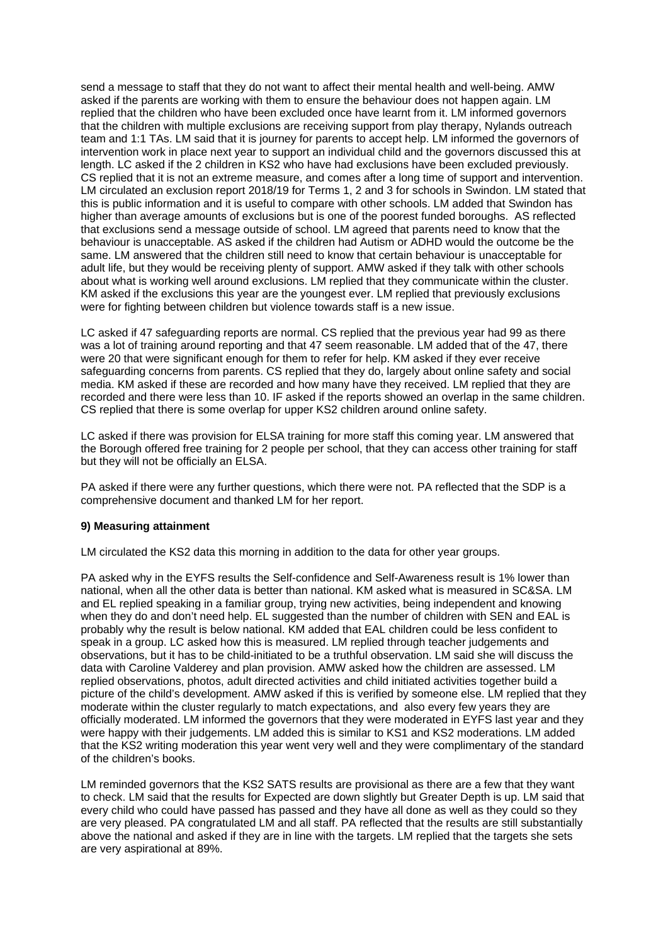send a message to staff that they do not want to affect their mental health and well-being. AMW asked if the parents are working with them to ensure the behaviour does not happen again. LM replied that the children who have been excluded once have learnt from it. LM informed governors that the children with multiple exclusions are receiving support from play therapy, Nylands outreach team and 1:1 TAs. LM said that it is journey for parents to accept help. LM informed the governors of intervention work in place next year to support an individual child and the governors discussed this at length. LC asked if the 2 children in KS2 who have had exclusions have been excluded previously. CS replied that it is not an extreme measure, and comes after a long time of support and intervention. LM circulated an exclusion report 2018/19 for Terms 1, 2 and 3 for schools in Swindon. LM stated that this is public information and it is useful to compare with other schools. LM added that Swindon has higher than average amounts of exclusions but is one of the poorest funded boroughs. AS reflected that exclusions send a message outside of school. LM agreed that parents need to know that the behaviour is unacceptable. AS asked if the children had Autism or ADHD would the outcome be the same. LM answered that the children still need to know that certain behaviour is unacceptable for adult life, but they would be receiving plenty of support. AMW asked if they talk with other schools about what is working well around exclusions. LM replied that they communicate within the cluster. KM asked if the exclusions this year are the youngest ever. LM replied that previously exclusions were for fighting between children but violence towards staff is a new issue.

LC asked if 47 safeguarding reports are normal. CS replied that the previous year had 99 as there was a lot of training around reporting and that 47 seem reasonable. LM added that of the 47, there were 20 that were significant enough for them to refer for help. KM asked if they ever receive safeguarding concerns from parents. CS replied that they do, largely about online safety and social media. KM asked if these are recorded and how many have they received. LM replied that they are recorded and there were less than 10. IF asked if the reports showed an overlap in the same children. CS replied that there is some overlap for upper KS2 children around online safety.

LC asked if there was provision for ELSA training for more staff this coming year. LM answered that the Borough offered free training for 2 people per school, that they can access other training for staff but they will not be officially an ELSA.

PA asked if there were any further questions, which there were not. PA reflected that the SDP is a comprehensive document and thanked LM for her report.

#### **9) Measuring attainment**

LM circulated the KS2 data this morning in addition to the data for other year groups.

PA asked why in the EYFS results the Self-confidence and Self-Awareness result is 1% lower than national, when all the other data is better than national. KM asked what is measured in SC&SA. LM and EL replied speaking in a familiar group, trying new activities, being independent and knowing when they do and don't need help. EL suggested than the number of children with SEN and EAL is probably why the result is below national. KM added that EAL children could be less confident to speak in a group. LC asked how this is measured. LM replied through teacher judgements and observations, but it has to be child-initiated to be a truthful observation. LM said she will discuss the data with Caroline Valderey and plan provision. AMW asked how the children are assessed. LM replied observations, photos, adult directed activities and child initiated activities together build a picture of the child's development. AMW asked if this is verified by someone else. LM replied that they moderate within the cluster regularly to match expectations, and also every few years they are officially moderated. LM informed the governors that they were moderated in EYFS last year and they were happy with their judgements. LM added this is similar to KS1 and KS2 moderations. LM added that the KS2 writing moderation this year went very well and they were complimentary of the standard of the children's books.

LM reminded governors that the KS2 SATS results are provisional as there are a few that they want to check. LM said that the results for Expected are down slightly but Greater Depth is up. LM said that every child who could have passed has passed and they have all done as well as they could so they are very pleased. PA congratulated LM and all staff. PA reflected that the results are still substantially above the national and asked if they are in line with the targets. LM replied that the targets she sets are very aspirational at 89%.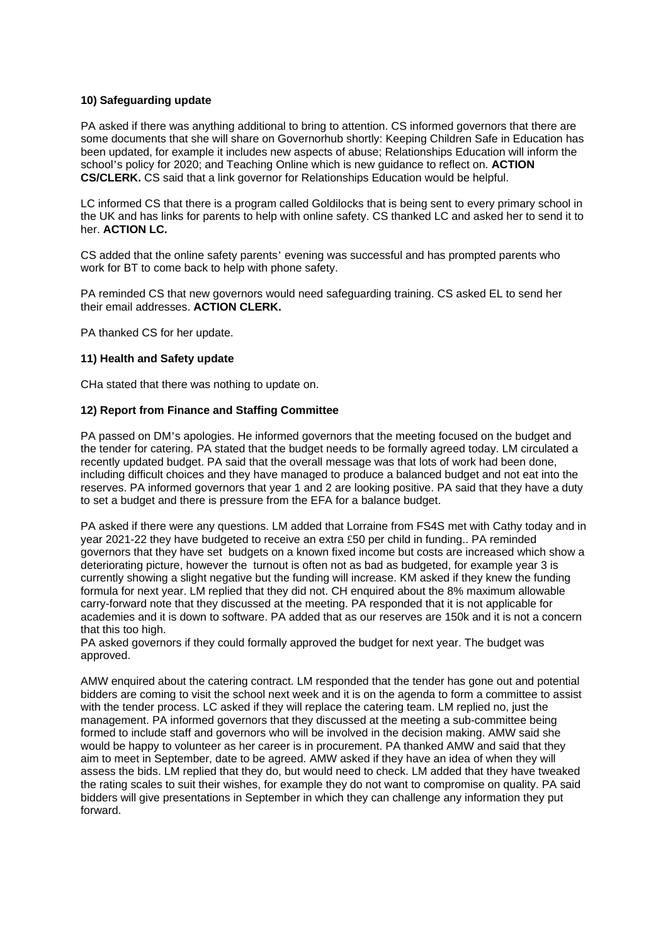### **10) Safeguarding update**

PA asked if there was anything additional to bring to attention. CS informed governors that there are some documents that she will share on Governorhub shortly: Keeping Children Safe in Education has been updated, for example it includes new aspects of abuse; Relationships Education will inform the school's policy for 2020; and Teaching Online which is new guidance to reflect on. **ACTION CS/CLERK.** CS said that a link governor for Relationships Education would be helpful.

LC informed CS that there is a program called Goldilocks that is being sent to every primary school in the UK and has links for parents to help with online safety. CS thanked LC and asked her to send it to her. **ACTION LC.** 

CS added that the online safety parents' evening was successful and has prompted parents who work for BT to come back to help with phone safety.

PA reminded CS that new governors would need safeguarding training. CS asked EL to send her their email addresses. **ACTION CLERK.** 

PA thanked CS for her update.

#### **11) Health and Safety update**

CHa stated that there was nothing to update on.

#### **12) Report from Finance and Staffing Committee**

PA passed on DM's apologies. He informed governors that the meeting focused on the budget and the tender for catering. PA stated that the budget needs to be formally agreed today. LM circulated a recently updated budget. PA said that the overall message was that lots of work had been done, including difficult choices and they have managed to produce a balanced budget and not eat into the reserves. PA informed governors that year 1 and 2 are looking positive. PA said that they have a duty to set a budget and there is pressure from the EFA for a balance budget.

PA asked if there were any questions. LM added that Lorraine from FS4S met with Cathy today and in year 2021-22 they have budgeted to receive an extra £50 per child in funding.. PA reminded governors that they have set budgets on a known fixed income but costs are increased which show a deteriorating picture, however the turnout is often not as bad as budgeted, for example year 3 is currently showing a slight negative but the funding will increase. KM asked if they knew the funding formula for next year. LM replied that they did not. CH enquired about the 8% maximum allowable carry-forward note that they discussed at the meeting. PA responded that it is not applicable for academies and it is down to software. PA added that as our reserves are 150k and it is not a concern that this too high.

PA asked governors if they could formally approved the budget for next year. The budget was approved.

AMW enquired about the catering contract. LM responded that the tender has gone out and potential bidders are coming to visit the school next week and it is on the agenda to form a committee to assist with the tender process. LC asked if they will replace the catering team. LM replied no, just the management. PA informed governors that they discussed at the meeting a sub-committee being formed to include staff and governors who will be involved in the decision making. AMW said she would be happy to volunteer as her career is in procurement. PA thanked AMW and said that they aim to meet in September, date to be agreed. AMW asked if they have an idea of when they will assess the bids. LM replied that they do, but would need to check. LM added that they have tweaked the rating scales to suit their wishes, for example they do not want to compromise on quality. PA said bidders will give presentations in September in which they can challenge any information they put forward.